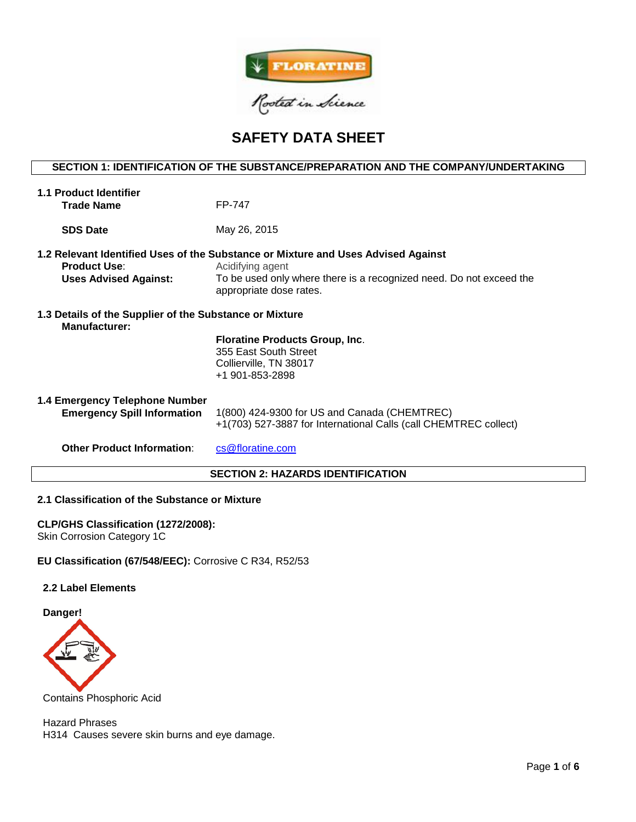

# **SAFETY DATA SHEET**

# **SECTION 1: IDENTIFICATION OF THE SUBSTANCE/PREPARATION AND THE COMPANY/UNDERTAKING**

| <b>1.1 Product Identifier</b><br><b>Trade Name</b>                              | FP-747                                                                                                                                                                                                  |  |  |  |
|---------------------------------------------------------------------------------|---------------------------------------------------------------------------------------------------------------------------------------------------------------------------------------------------------|--|--|--|
| <b>SDS Date</b>                                                                 | May 26, 2015                                                                                                                                                                                            |  |  |  |
| <b>Product Use:</b><br><b>Uses Advised Against:</b>                             | 1.2 Relevant Identified Uses of the Substance or Mixture and Uses Advised Against<br>Acidifying agent<br>To be used only where there is a recognized need. Do not exceed the<br>appropriate dose rates. |  |  |  |
| 1.3 Details of the Supplier of the Substance or Mixture<br><b>Manufacturer:</b> | <b>Floratine Products Group, Inc.</b><br>355 East South Street<br>Collierville, TN 38017<br>+1 901-853-2898                                                                                             |  |  |  |
| 1.4 Emergency Telephone Number<br><b>Emergency Spill Information</b>            | 1(800) 424-9300 for US and Canada (CHEMTREC)<br>+1(703) 527-3887 for International Calls (call CHEMTREC collect)                                                                                        |  |  |  |
| <b>Other Product Information:</b>                                               | cs@floratine.com<br><b>SECTION 2: HAZARDS IDENTIFICATION</b>                                                                                                                                            |  |  |  |
|                                                                                 |                                                                                                                                                                                                         |  |  |  |

## **2.1 Classification of the Substance or Mixture**

## **CLP/GHS Classification (1272/2008):**

Skin Corrosion Category 1C

**EU Classification (67/548/EEC):** Corrosive C R34, R52/53

## **2.2 Label Elements**

**Danger!**



Contains Phosphoric Acid

Hazard Phrases H314 Causes severe skin burns and eye damage.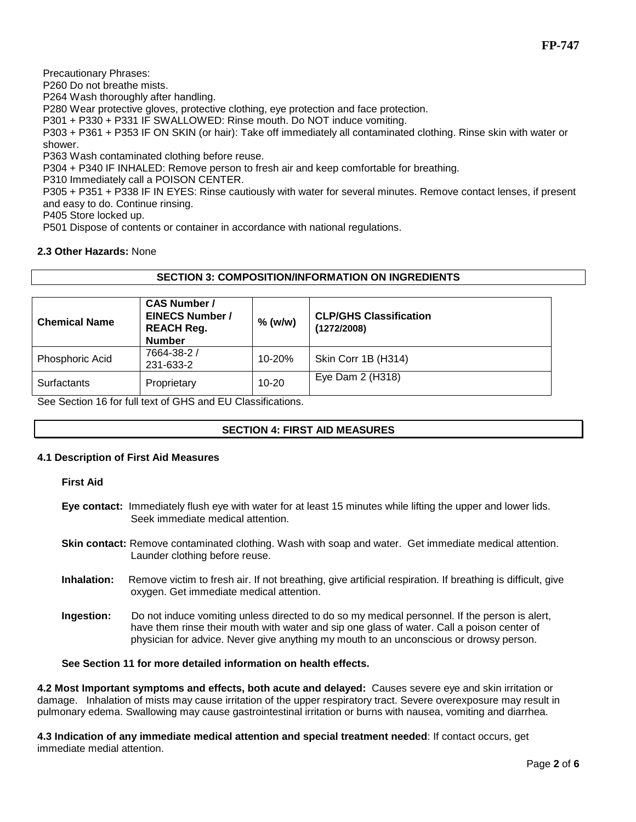Precautionary Phrases:

P260 Do not breathe mists.

P264 Wash thoroughly after handling.

P280 Wear protective gloves, protective clothing, eye protection and face protection.

P301 + P330 + P331 IF SWALLOWED: Rinse mouth. Do NOT induce vomiting.

P303 + P361 + P353 IF ON SKIN (or hair): Take off immediately all contaminated clothing. Rinse skin with water or shower.

P363 Wash contaminated clothing before reuse.

P304 + P340 IF INHALED: Remove person to fresh air and keep comfortable for breathing.

P310 Immediately call a POISON CENTER.

P305 + P351 + P338 IF IN EYES: Rinse cautiously with water for several minutes. Remove contact lenses, if present and easy to do. Continue rinsing.

P405 Store locked up.

P501 Dispose of contents or container in accordance with national regulations.

## **2.3 Other Hazards:** None

# **SECTION 3: COMPOSITION/INFORMATION ON INGREDIENTS**

| <b>Chemical Name</b> | <b>CAS Number /</b><br><b>EINECS Number /</b><br><b>REACH Reg.</b><br><b>Number</b> | $%$ (w/w)  | <b>CLP/GHS Classification</b><br>(1272/2008) |
|----------------------|-------------------------------------------------------------------------------------|------------|----------------------------------------------|
| Phosphoric Acid      | 7664-38-2 /<br>231-633-2                                                            | $10 - 20%$ | Skin Corr 1B (H314)                          |
| Surfactants          | Proprietary                                                                         | $10 - 20$  | Eye Dam $2$ (H318)                           |

See Section 16 for full text of GHS and EU Classifications.

# **SECTION 4: FIRST AID MEASURES**

## **4.1 Description of First Aid Measures**

**First Aid**

**Eye contact:** Immediately flush eye with water for at least 15 minutes while lifting the upper and lower lids. Seek immediate medical attention.

**Skin contact:** Remove contaminated clothing. Wash with soap and water. Get immediate medical attention. Launder clothing before reuse.

- **Inhalation:** Remove victim to fresh air. If not breathing, give artificial respiration. If breathing is difficult, give oxygen. Get immediate medical attention.
- **Ingestion:** Do not induce vomiting unless directed to do so my medical personnel. If the person is alert, have them rinse their mouth with water and sip one glass of water. Call a poison center of physician for advice. Never give anything my mouth to an unconscious or drowsy person.

## **See Section 11 for more detailed information on health effects.**

**4.2 Most Important symptoms and effects, both acute and delayed:** Causes severe eye and skin irritation or damage. Inhalation of mists may cause irritation of the upper respiratory tract. Severe overexposure may result in pulmonary edema. Swallowing may cause gastrointestinal irritation or burns with nausea, vomiting and diarrhea.

**4.3 Indication of any immediate medical attention and special treatment needed**: If contact occurs, get immediate medial attention.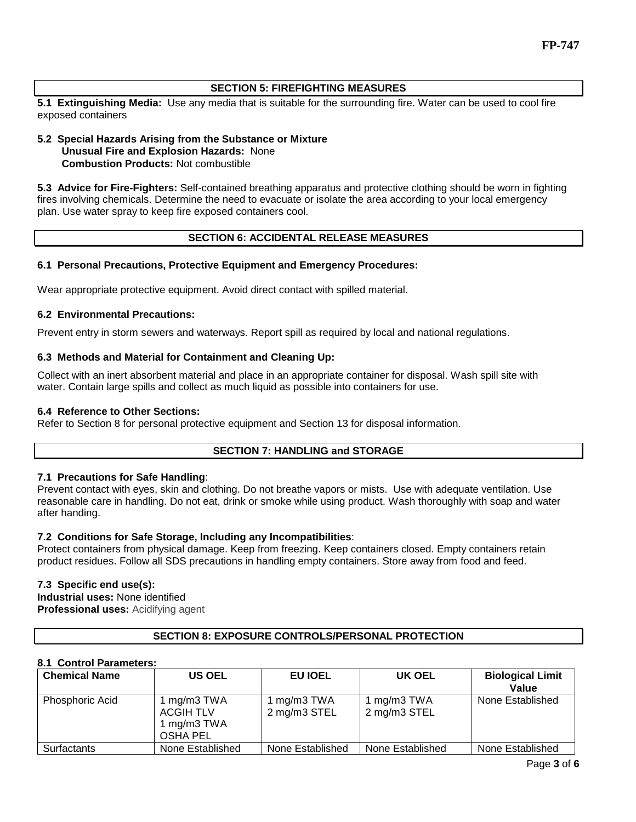# **SECTION 5: FIREFIGHTING MEASURES**

**5.1 Extinguishing Media:** Use any media that is suitable for the surrounding fire. Water can be used to cool fire exposed containers

## **5.2 Special Hazards Arising from the Substance or Mixture Unusual Fire and Explosion Hazards:** None **Combustion Products:** Not combustible

**5.3 Advice for Fire-Fighters:** Self-contained breathing apparatus and protective clothing should be worn in fighting fires involving chemicals. Determine the need to evacuate or isolate the area according to your local emergency plan. Use water spray to keep fire exposed containers cool.

# **SECTION 6: ACCIDENTAL RELEASE MEASURES**

## **6.1 Personal Precautions, Protective Equipment and Emergency Procedures:**

Wear appropriate protective equipment. Avoid direct contact with spilled material.

## **6.2 Environmental Precautions:**

Prevent entry in storm sewers and waterways. Report spill as required by local and national regulations.

## **6.3 Methods and Material for Containment and Cleaning Up:**

Collect with an inert absorbent material and place in an appropriate container for disposal. Wash spill site with water. Contain large spills and collect as much liquid as possible into containers for use.

## **6.4 Reference to Other Sections:**

Refer to Section 8 for personal protective equipment and Section 13 for disposal information.

# **SECTION 7: HANDLING and STORAGE**

## **7.1 Precautions for Safe Handling**:

Prevent contact with eyes, skin and clothing. Do not breathe vapors or mists. Use with adequate ventilation. Use reasonable care in handling. Do not eat, drink or smoke while using product. Wash thoroughly with soap and water after handing.

# **7.2 Conditions for Safe Storage, Including any Incompatibilities**:

Protect containers from physical damage. Keep from freezing. Keep containers closed. Empty containers retain product residues. Follow all SDS precautions in handling empty containers. Store away from food and feed.

# **7.3 Specific end use(s):**

**Industrial uses:** None identified **Professional uses:** Acidifying agent

# **SECTION 8: EXPOSURE CONTROLS/PERSONAL PROTECTION**

## **8.1 Control Parameters:**

| <b>Chemical Name</b>   | <b>US OEL</b>                                              | <b>EU IOEL</b>              | UK OEL                      | <b>Biological Limit</b><br>Value |
|------------------------|------------------------------------------------------------|-----------------------------|-----------------------------|----------------------------------|
| <b>Phosphoric Acid</b> | 1 mg/m3 TWA<br><b>ACGIH TLV</b><br>1 mg/m3 TWA<br>OSHA PEL | 1 mg/m3 TWA<br>2 mg/m3 STEL | 1 mg/m3 TWA<br>2 mg/m3 STEL | None Established                 |
| Surfactants            | None Established                                           | None Established            | None Established            | None Established                 |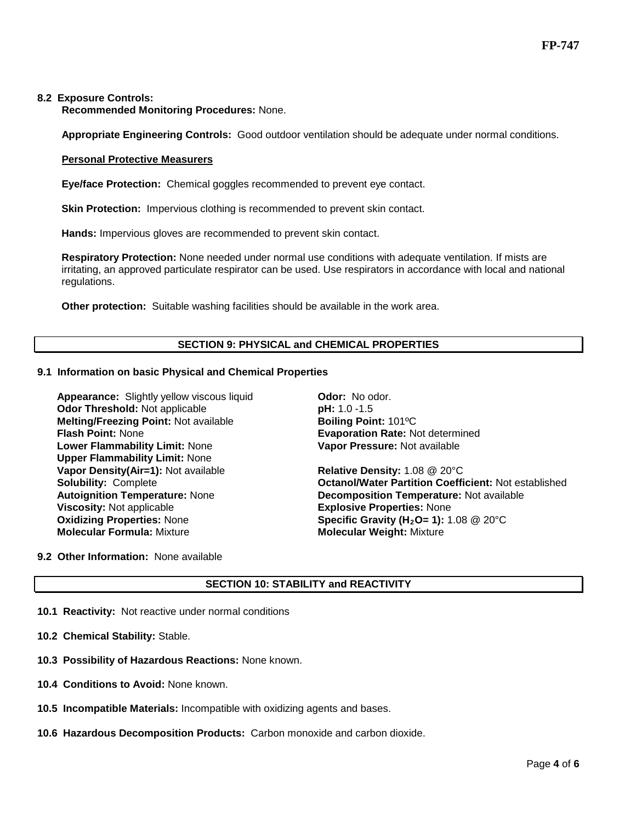#### **8.2 Exposure Controls:**

**Recommended Monitoring Procedures:** None.

**Appropriate Engineering Controls:** Good outdoor ventilation should be adequate under normal conditions.

#### **Personal Protective Measurers**

**Eye/face Protection:** Chemical goggles recommended to prevent eye contact.

**Skin Protection:** Impervious clothing is recommended to prevent skin contact.

**Hands:** Impervious gloves are recommended to prevent skin contact.

**Respiratory Protection:** None needed under normal use conditions with adequate ventilation. If mists are irritating, an approved particulate respirator can be used. Use respirators in accordance with local and national regulations.

**Other protection:** Suitable washing facilities should be available in the work area.

## **SECTION 9: PHYSICAL and CHEMICAL PROPERTIES**

#### **9.1 Information on basic Physical and Chemical Properties**

**Appearance:** Slightly yellow viscous liquid **Odor:** No odor. **Odor Threshold:** Not applicable **pH:** 1.0 -1.5 **Melting/Freezing Point: Not available be a more defining Point: 101°C<br><b>Flash Point: N**one **Boiling Point: Algebrance Brand Brand Evaporation Rate: N Lower Flammability Limit:** None **Upper Flammability Limit:** None **Vapor Density(Air=1):** Not available **Relative Density:** 1.08 @ 20°C **Viscosity:** Not applicable<br> **Oxidizing Properties:** None<br> **Cynumical Contract Constant Constant Constant Constant Constant Constant Constant Constant Constant Constant Constant Constant Operation Constant Constant Constan Oxidizing Properties:** None **Specific Gravity (H<sub>2</sub>O= 1):** 1.08 @ 20°C<br> **Molecular Formula:** Mixture **Specific Gravity (H2O= 1):** 1.08 @ 20°C

**Evaporation Rate: Not determined Vapor Pressure:** Not available

**Solubility:** Complete **Octanol/Water Partition Coefficient:** Not established **Autoignition Temperature:** None **Decomposition Temperature:** Not available **Molecular Weight: Mixture** 

**9.2 Other Information:** None available

## **SECTION 10: STABILITY and REACTIVITY**

- **10.1 Reactivity:** Not reactive under normal conditions
- **10.2 Chemical Stability:** Stable.
- **10.3 Possibility of Hazardous Reactions:** None known.
- **10.4 Conditions to Avoid:** None known.
- **10.5 Incompatible Materials:** Incompatible with oxidizing agents and bases.
- **10.6 Hazardous Decomposition Products:** Carbon monoxide and carbon dioxide.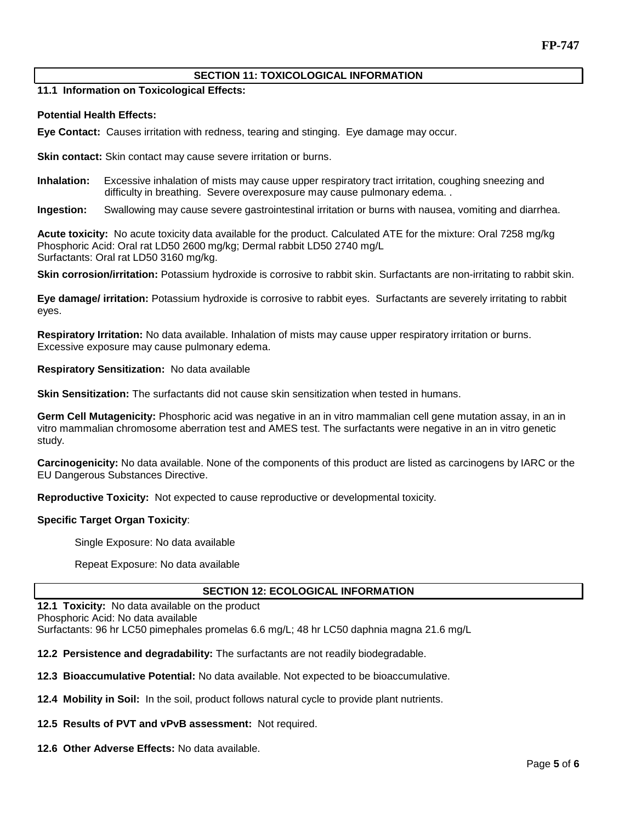## **SECTION 11: TOXICOLOGICAL INFORMATION**

**11.1 Information on Toxicological Effects:** 

#### **Potential Health Effects:**

**Eye Contact:** Causes irritation with redness, tearing and stinging. Eye damage may occur.

**Skin contact:** Skin contact may cause severe irritation or burns.

**Inhalation:** Excessive inhalation of mists may cause upper respiratory tract irritation, coughing sneezing and difficulty in breathing. Severe overexposure may cause pulmonary edema. .

**Ingestion:** Swallowing may cause severe gastrointestinal irritation or burns with nausea, vomiting and diarrhea.

**Acute toxicity:** No acute toxicity data available for the product. Calculated ATE for the mixture: Oral 7258 mg/kg Phosphoric Acid: Oral rat LD50 2600 mg/kg; Dermal rabbit LD50 2740 mg/L Surfactants: Oral rat LD50 3160 mg/kg.

**Skin corrosion/irritation:** Potassium hydroxide is corrosive to rabbit skin. Surfactants are non-irritating to rabbit skin.

**Eye damage/ irritation:** Potassium hydroxide is corrosive to rabbit eyes. Surfactants are severely irritating to rabbit eyes.

**Respiratory Irritation:** No data available. Inhalation of mists may cause upper respiratory irritation or burns. Excessive exposure may cause pulmonary edema.

**Respiratory Sensitization:** No data available

**Skin Sensitization:** The surfactants did not cause skin sensitization when tested in humans.

**Germ Cell Mutagenicity:** Phosphoric acid was negative in an in vitro mammalian cell gene mutation assay, in an in vitro mammalian chromosome aberration test and AMES test. The surfactants were negative in an in vitro genetic study.

**Carcinogenicity:** No data available. None of the components of this product are listed as carcinogens by IARC or the EU Dangerous Substances Directive.

**Reproductive Toxicity:** Not expected to cause reproductive or developmental toxicity.

#### **Specific Target Organ Toxicity**:

Single Exposure: No data available

Repeat Exposure: No data available

## **SECTION 12: ECOLOGICAL INFORMATION**

**12.1 Toxicity:** No data available on the product Phosphoric Acid: No data available Surfactants: 96 hr LC50 pimephales promelas 6.6 mg/L; 48 hr LC50 daphnia magna 21.6 mg/L

**12.2 Persistence and degradability:** The surfactants are not readily biodegradable.

**12.3 Bioaccumulative Potential:** No data available. Not expected to be bioaccumulative.

**12.4 Mobility in Soil:** In the soil, product follows natural cycle to provide plant nutrients.

**12.5 Results of PVT and vPvB assessment:** Not required.

**12.6 Other Adverse Effects:** No data available.